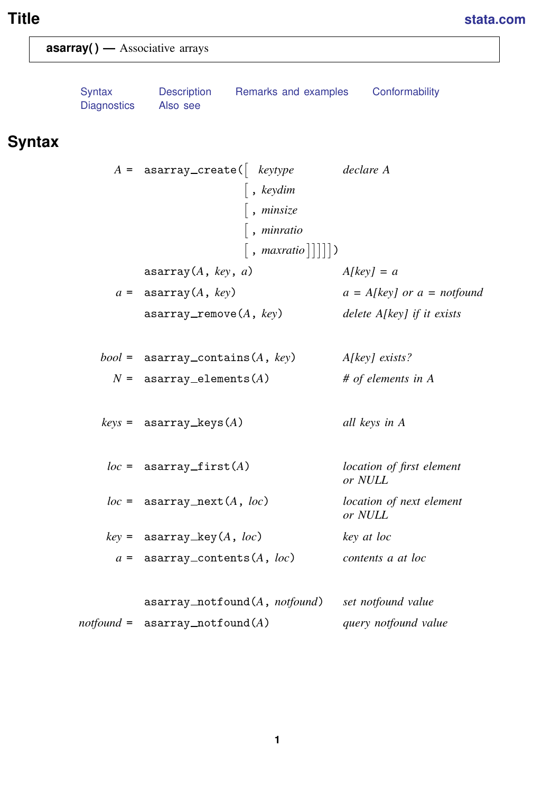# <span id="page-0-1"></span>**Title [stata.com](http://stata.com)**

<span id="page-0-0"></span>

| $\textsf{asarray}()$ — Associative arrays |                                                                                               |                                                 |
|-------------------------------------------|-----------------------------------------------------------------------------------------------|-------------------------------------------------|
| <b>Syntax</b><br><b>Diagnostics</b>       | Remarks and examples<br>Description<br>Also see                                               | Conformability                                  |
| <b>Syntax</b>                             |                                                                                               |                                                 |
|                                           | $A =$ asarray_create( keytype<br>$\vert$ , keydim<br>$\lceil$ , minsize<br>$\vert$ , minratio | declare A                                       |
|                                           | , maxratio $     $ )                                                                          |                                                 |
|                                           | $\text{asarray}(A, \text{key}, a)$<br>$a =$ asarray(A, key)                                   | $A[key] = a$<br>$a = A[key]$ or $a = not found$ |
|                                           | $\texttt{asarray\_remove}(A, \textit{key})$                                                   | delete A[key] if it exists                      |
|                                           | $bool =$ asarray_contains(A, key)                                                             | A[key] exists?                                  |
|                                           | $N =$ asarray_elements(A)                                                                     | # of elements in $A$                            |
|                                           | $keys = asarray\_keys(A)$                                                                     | all keys in A                                   |
|                                           | $loc =$ asarray_first(A)                                                                      | location of first element<br>or NULL            |
|                                           | $loc =$ asarray_next(A, $loc$ )                                                               | location of next element<br>or NULL             |
|                                           | $key =$ asarray_key(A, loc)                                                                   | key at loc                                      |
|                                           | $a =$ asarray_contents $(A, loc)$                                                             | contents a at loc                               |
|                                           | asarray_notfound(A, notfound)                                                                 | set notfound value                              |
|                                           | $notfound = a\texttt{sarray\_notfound}(A)$                                                    | query notfound value                            |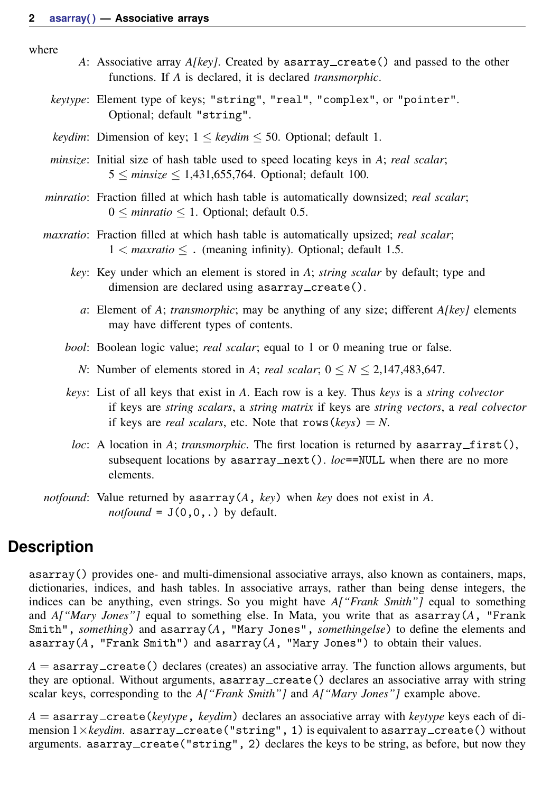where

- *A*: Associative array *A[key]*. Created by asarray create() and passed to the other functions. If *A* is declared, it is declared *transmorphic*.
- *keytype*: Element type of keys; "string", "real", "complex", or "pointer". Optional; default "string".
- *keydim*: Dimension of key;  $1 \leq \text{keydim} \leq 50$ . Optional; default 1.
- *minsize*: Initial size of hash table used to speed locating keys in *A*; *real scalar*; 5 ≤ *minsize* ≤ 1,431,655,764. Optional; default 100.
- *minratio*: Fraction filled at which hash table is automatically downsized; *real scalar*; 0 ≤ *minratio* ≤ 1. Optional; default 0.5.
- *maxratio*: Fraction filled at which hash table is automatically upsized; *real scalar*; 1 < *maxratio* ≤ . (meaning infinity). Optional; default 1.5.
	- *key*: Key under which an element is stored in *A*; *string scalar* by default; type and dimension are declared using asarray\_create().
		- *a*: Element of *A*; *transmorphic*; may be anything of any size; different *A[key]* elements may have different types of contents.

*bool*: Boolean logic value; *real scalar*; equal to 1 or 0 meaning true or false.

- *N*: Number of elements stored in *A*; *real scalar*;  $0 \le N \le 2,147,483,647$ .
- *keys*: List of all keys that exist in *A*. Each row is a key. Thus *keys* is a *string colvector* if keys are *string scalars*, a *string matrix* if keys are *string vectors*, a *real colvector* if keys are *real scalars*, etc. Note that  $rows(keys) = N$ .
- *loc*: A location in *A*; *transmorphic*. The first location is returned by  $\text{asarray\_first}()$ , subsequent locations by  $\text{asarray\_next}()$ . *loc*==NULL when there are no more elements.
- <span id="page-1-0"></span>*notfound*: Value returned by asarray(*A*, *key*) when *key* does not exist in *A*. *notfound* =  $J(0,0,.)$  by default.

## **Description**

asarray() provides one- and multi-dimensional associative arrays, also known as containers, maps, dictionaries, indices, and hash tables. In associative arrays, rather than being dense integers, the indices can be anything, even strings. So you might have *A["Frank Smith"]* equal to something and *A["Mary Jones"]* equal to something else. In Mata, you write that as asarray(*A*, "Frank Smith", *something*) and asarray(*A*, "Mary Jones", *somethingelse*) to define the elements and asarray(*A*, "Frank Smith") and asarray(*A*, "Mary Jones") to obtain their values.

 $A =$  asarray\_create() declares (creates) an associative array. The function allows arguments, but they are optional. Without arguments, asarray create() declares an associative array with string scalar keys, corresponding to the *A["Frank Smith"]* and *A["Mary Jones"]* example above.

*A* = asarray create(*keytype*, *keydim*) declares an associative array with *keytype* keys each of dimension  $1 \times keydim$ . asarray\_create ("string", 1) is equivalent to asarray\_create () without arguments. asarray\_create("string", 2) declares the keys to be string, as before, but now they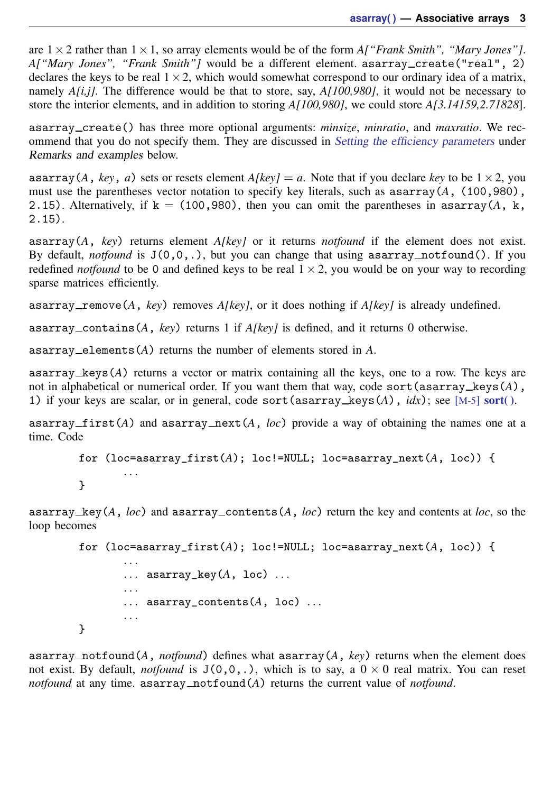are  $1 \times 2$  rather than  $1 \times 1$ , so array elements would be of the form *A["Frank Smith", "Mary Jones"]*. *A["Mary Jones", "Frank Smith"]* would be a different element. asarray\_create("real", 2) declares the keys to be real  $1 \times 2$ , which would somewhat correspond to our ordinary idea of a matrix, namely *A[i,j]*. The difference would be that to store, say, *A[100,980]*, it would not be necessary to store the interior elements, and in addition to storing *A[100,980]*, we could store *A[3.14159,2.71828*].

asarray create() has three more optional arguments: *minsize*, *minratio*, and *maxratio*. We rec-ommend that you do not specify them. They are discussed in [Setting the efficiency parameters](#page-4-0) under Remarks and examples below.

asarray(*A*, *key*, *a*) sets or resets element  $A/key$  = *a*. Note that if you declare *key* to be  $1 \times 2$ , you must use the parentheses vector notation to specify key literals, such as asarray(*A*, (100,980), 2.15). Alternatively, if  $k = (100, 980)$ , then you can omit the parentheses in asarray( $A$ , k, 2.15).

asarray(*A*, *key*) returns element *A[key]* or it returns *notfound* if the element does not exist. By default, *notfound* is  $J(0,0,.)$ , but you can change that using asarray notfound(). If you redefined *notfound* to be 0 and defined keys to be real  $1 \times 2$ , you would be on your way to recording sparse matrices efficiently.

asarray\_remove( $A$ ,  $key$ ) removes  $A/key$ , or it does nothing if  $A/key$  is already undefined.

asarray contains(*A*, *key*) returns 1 if *A[key]* is defined, and it returns 0 otherwise.

asarray elements(*A*) returns the number of elements stored in *A*.

asarray keys(*A*) returns a vector or matrix containing all the keys, one to a row. The keys are not in alphabetical or numerical order. If you want them that way, code sort(asarray keys(*A*), 1) if your keys are scalar, or in general, code sort(asarray\_keys(A),  $idx$ ; see [M-5] sort().

asarray\_first( $A$ ) and asarray\_next( $A$ , *loc*) provide a way of obtaining the names one at a time. Code

```
for (loc = a \text{sarray\_first}(A); loc != NULL; loc = a \text{sarray\_next}(A, loc)) {
         . . .
}
```
asarray key( $A$ ,  $loc$ ) and asarray contents( $A$ ,  $loc$ ) return the key and contents at  $loc$ , so the loop becomes

```
for (loc = a \text{sarray\_first}(A)); loc!=NULL; loc=asarray_next(A, \text{loc})) {
         . . .
         \ldots asarray_key(A, loc) \ldots. . .
         \ldots asarray_contents(A, loc) \ldots. . .
}
```
asarray notfound(*A*, *notfound*) defines what asarray(*A*, *key*) returns when the element does not exist. By default, *notfound* is  $J(0,0,.)$ , which is to say, a  $0 \times 0$  real matrix. You can reset *notfound* at any time. as  $\arctan x$  not found  $(A)$  returns the current value of *notfound*.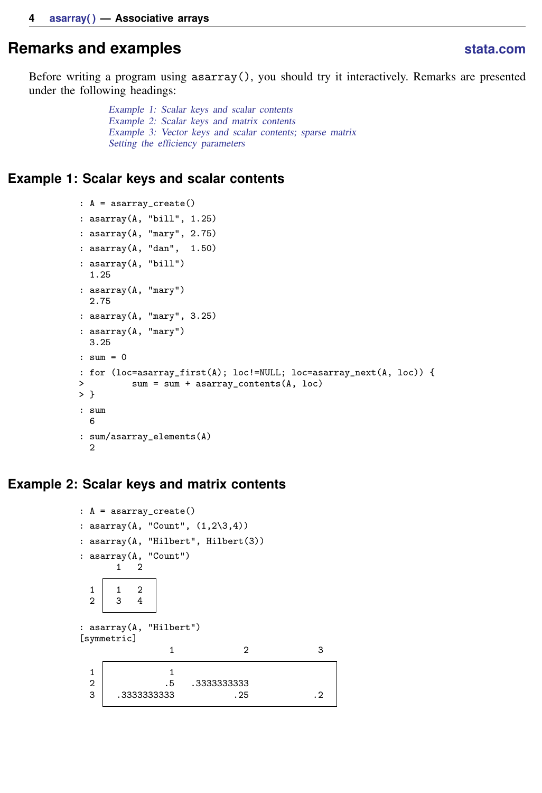## <span id="page-3-0"></span>**Remarks and examples stature in the state of the state of the state of the state of the state of the state of the state of the state of the state of the state of the state of the state of the state of the state of the s**

Before writing a program using  $\text{asarray}()$ , you should try it interactively. Remarks are presented under the following headings:

> [Example 1: Scalar keys and scalar contents](#page-3-1) [Example 2: Scalar keys and matrix contents](#page-3-2) [Example 3: Vector keys and scalar contents; sparse matrix](#page-4-1) [Setting the efficiency parameters](#page-4-0)

#### <span id="page-3-1"></span>**Example 1: Scalar keys and scalar contents**

```
: A = asarray_create()
: asarray(A, "bill", 1.25)
: asarray(A, "mary", 2.75)
: asarray(A, "dan", 1.50)
: asarray(A, "bill")
  1.25
: asarray(A, "mary")
 2.75
: asarray(A, "mary", 3.25)
: asarray(A, "mary")
 3.25
: sum = 0
: for (loc=asarray_first(A); loc!=NULL; loc=asarray_next(A, loc)) {
> sum = sum + asarray_contents(A, loc)
> }
: sum
 6
: sum/asarray_elements(A)
 2
```
#### <span id="page-3-2"></span>**Example 2: Scalar keys and matrix contents**

```
: A = asarray_create()
: asarray(A, "Count", (1,2\3,4))
: asarray(A, "Hilbert", Hilbert(3))
: asarray(A, "Count")
      1 2
 \begin{array}{c|cc} 1 & 1 & 2 \\ 2 & 3 & 4 \end{array}\mathbf{3}: asarray(A, "Hilbert")
[symmetric]
                1 2 3
  1 1
 2 .5 .3333333333
      3 .3333333333 .25 .2
```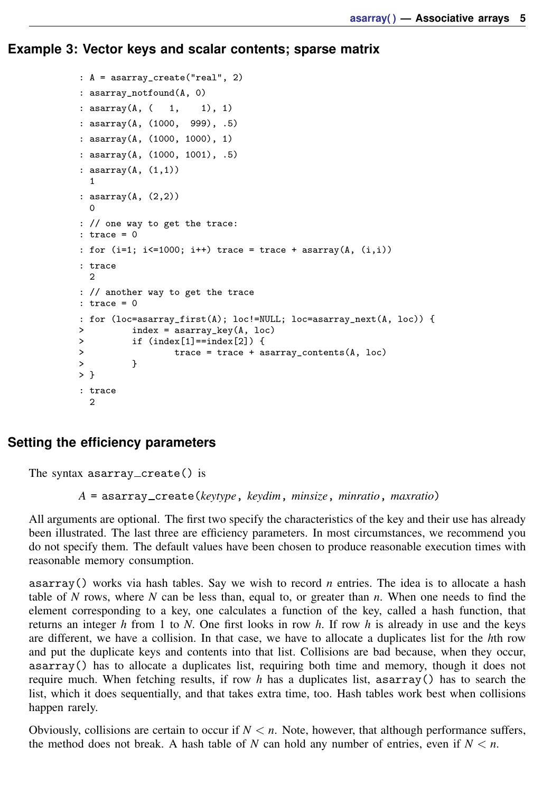<span id="page-4-1"></span>**Example 3: Vector keys and scalar contents; sparse matrix**

```
: A = asarray_create("real", 2)
: asarray_notfound(A, 0)
: asarray(A, ( 1, 1), 1): asarray(A, (1000, 999), .5)
: asarray(A, (1000, 1000), 1)
: asarray(A, (1000, 1001), .5)
: asarray(A, (1,1))
  1
: asarray(A, (2,2))
  \Omega: // one way to get the trace:
: trace = 0: for (i=1; i<=1000; i++) trace = trace + asarray(A, (i,i)): trace
  2
: // another way to get the trace
: trace = 0
: for (loc=asarray_first(A); loc!=NULL; loc=asarray_next(A, loc)) {
> index = asarray_key(A, loc)<br>> if (index[1]==index[2]) {
> if index[1]=index[2] {<br>
trace = trace + 3trace = trace + asarray_contents(A, loc) }
> }
> }
: trace
  2
```
### <span id="page-4-0"></span>**Setting the efficiency parameters**

The syntax asarray\_create() is

*A* = asarray create(*keytype*, *keydim*, *minsize*, *minratio*, *maxratio*)

All arguments are optional. The first two specify the characteristics of the key and their use has already been illustrated. The last three are efficiency parameters. In most circumstances, we recommend you do not specify them. The default values have been chosen to produce reasonable execution times with reasonable memory consumption.

asarray() works via hash tables. Say we wish to record *n* entries. The idea is to allocate a hash table of *N* rows, where *N* can be less than, equal to, or greater than *n*. When one needs to find the element corresponding to a key, one calculates a function of the key, called a hash function, that returns an integer *h* from 1 to *N*. One first looks in row *h*. If row *h* is already in use and the keys are different, we have a collision. In that case, we have to allocate a duplicates list for the *h*th row and put the duplicate keys and contents into that list. Collisions are bad because, when they occur, asarray() has to allocate a duplicates list, requiring both time and memory, though it does not require much. When fetching results, if row *h* has a duplicates list, asarray() has to search the list, which it does sequentially, and that takes extra time, too. Hash tables work best when collisions happen rarely.

Obviously, collisions are certain to occur if  $N < n$ . Note, however, that although performance suffers, the method does not break. A hash table of *N* can hold any number of entries, even if  $N < n$ .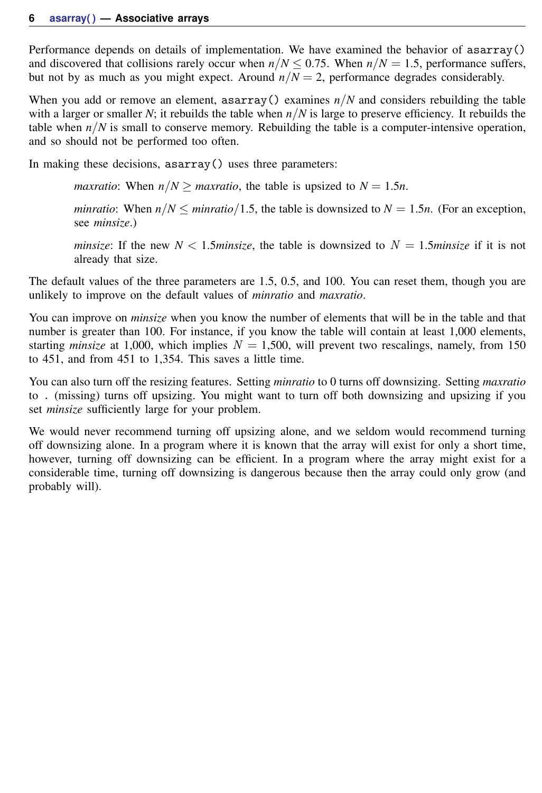Performance depends on details of implementation. We have examined the behavior of asarray() and discovered that collisions rarely occur when  $n/N \le 0.75$ . When  $n/N = 1.5$ , performance suffers, but not by as much as you might expect. Around  $n/N = 2$ , performance degrades considerably.

When you add or remove an element, asarray() examines  $n/N$  and considers rebuilding the table with a larger or smaller *N*; it rebuilds the table when *n*/*N* is large to preserve efficiency. It rebuilds the table when  $n/N$  is small to conserve memory. Rebuilding the table is a computer-intensive operation, and so should not be performed too often.

In making these decisions, asarray() uses three parameters:

*maxratio*: When  $n/N \geq$  *maxratio*, the table is upsized to  $N = 1.5n$ .

*minratio*: When  $n/N \leq$  *minratio*/1.5, the table is downsized to  $N = 1.5n$ . (For an exception, see *minsize*.)

*minsize*: If the new  $N < 1.5$ *minsize*, the table is downsized to  $N = 1.5$ *minsize* if it is not already that size.

The default values of the three parameters are 1.5, 0.5, and 100. You can reset them, though you are unlikely to improve on the default values of *minratio* and *maxratio*.

You can improve on *minsize* when you know the number of elements that will be in the table and that number is greater than 100. For instance, if you know the table will contain at least 1,000 elements, starting *minsize* at 1,000, which implies  $N = 1,500$ , will prevent two rescalings, namely, from 150 to 451, and from 451 to 1,354. This saves a little time.

You can also turn off the resizing features. Setting *minratio* to 0 turns off downsizing. Setting *maxratio* to . (missing) turns off upsizing. You might want to turn off both downsizing and upsizing if you set *minsize* sufficiently large for your problem.

We would never recommend turning off upsizing alone, and we seldom would recommend turning off downsizing alone. In a program where it is known that the array will exist for only a short time, however, turning off downsizing can be efficient. In a program where the array might exist for a considerable time, turning off downsizing is dangerous because then the array could only grow (and probably will).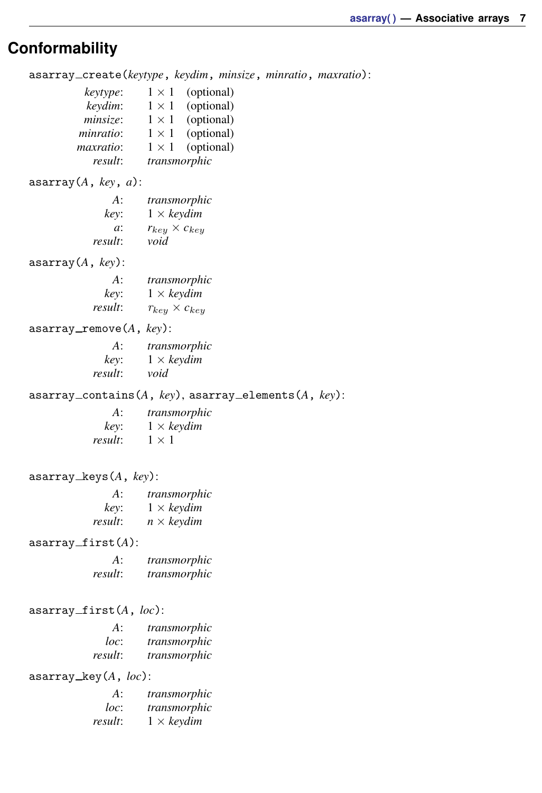## <span id="page-6-0"></span>**Conformability**

asarray create(*keytype*, *keydim*, *minsize*, *minratio*, *maxratio*):

| keytype:  | $1 \times 1$ | (optional) |
|-----------|--------------|------------|
| keydim:   | $1 \times 1$ | (optional) |
| minsize:  | $1 \times 1$ | (optional) |
| minratio: | $1 \times 1$ | (optional) |
| maxratio: | $1 \times 1$ | (optional) |
| result:   | transmorphic |            |

asarray(*A*, *key*, *a*):

| A:      | transmorphic             |
|---------|--------------------------|
| key:    | $1 \times$ keydim        |
| a:      | $r_{keu} \times c_{keu}$ |
| result: | void                     |

asarray(*A*, *key*):

| $A$ :   | transmorphic             |
|---------|--------------------------|
| key:    | $1 \times$ keydim        |
| result: | $r_{key} \times c_{key}$ |

asarray\_remove(A, key):

| A:      | transmorphic               |
|---------|----------------------------|
| kev:    | $1 \times \textit{keydim}$ |
| result: | void                       |

asarray contains(*A*, *key*), asarray elements(*A*, *key*):

| A:      | transmorphic      |  |
|---------|-------------------|--|
| kev:    | $1 \times$ keydim |  |
| result: | $1 \times 1$      |  |

asarray keys(*A*, *key*):

| A:      | transmorphic      |
|---------|-------------------|
| kev:    | $1 \times$ keydim |
| result: | $n \times$ keydim |

asarray\_first(A):

| $A$ :   | transmorphic |
|---------|--------------|
| result: | transmorphic |

asarray first(*A*, *loc*):

| A:      | transmorphic |
|---------|--------------|
| loc:    | transmorphic |
| result: | transmorphic |

asarray key(*A*, *loc*):

| A:      | transmorphic      |
|---------|-------------------|
| loc:    | transmorphic      |
| result: | $1 \times$ keydim |